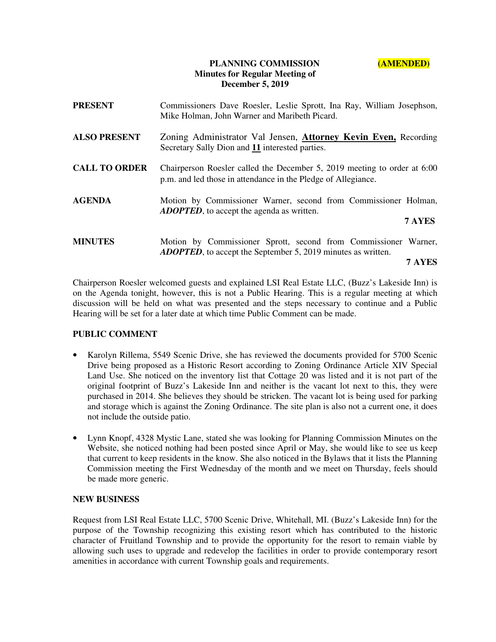## **PLANNING COMMISSION (AMENDED) Minutes for Regular Meeting of December 5, 2019**

| <b>PRESENT</b>       | Commissioners Dave Roesler, Leslie Sprott, Ina Ray, William Josephson,<br>Mike Holman, John Warner and Maribeth Picard.                           |
|----------------------|---------------------------------------------------------------------------------------------------------------------------------------------------|
| <b>ALSO PRESENT</b>  | Zoning Administrator Val Jensen, <b>Attorney Kevin Even, Recording</b><br>Secretary Sally Dion and 11 interested parties.                         |
| <b>CALL TO ORDER</b> | Chairperson Roesler called the December 5, 2019 meeting to order at 6:00<br>p.m. and led those in attendance in the Pledge of Allegiance.         |
| <b>AGENDA</b>        | Motion by Commissioner Warner, second from Commissioner Holman,<br><b>ADOPTED</b> , to accept the agenda as written.<br>7 AYES                    |
| <b>MINUTES</b>       | Motion by Commissioner Sprott, second from Commissioner Warner,<br><b>ADOPTED</b> , to accept the September 5, 2019 minutes as written.<br>7 AYES |

Chairperson Roesler welcomed guests and explained LSI Real Estate LLC, (Buzz's Lakeside Inn) is on the Agenda tonight, however, this is not a Public Hearing. This is a regular meeting at which discussion will be held on what was presented and the steps necessary to continue and a Public Hearing will be set for a later date at which time Public Comment can be made.

## **PUBLIC COMMENT**

- Karolyn Rillema, 5549 Scenic Drive, she has reviewed the documents provided for 5700 Scenic Drive being proposed as a Historic Resort according to Zoning Ordinance Article XIV Special Land Use. She noticed on the inventory list that Cottage 20 was listed and it is not part of the original footprint of Buzz's Lakeside Inn and neither is the vacant lot next to this, they were purchased in 2014. She believes they should be stricken. The vacant lot is being used for parking and storage which is against the Zoning Ordinance. The site plan is also not a current one, it does not include the outside patio.
- Lynn Knopf, 4328 Mystic Lane, stated she was looking for Planning Commission Minutes on the Website, she noticed nothing had been posted since April or May, she would like to see us keep that current to keep residents in the know. She also noticed in the Bylaws that it lists the Planning Commission meeting the First Wednesday of the month and we meet on Thursday, feels should be made more generic.

## **NEW BUSINESS**

Request from LSI Real Estate LLC, 5700 Scenic Drive, Whitehall, MI. (Buzz's Lakeside Inn) for the purpose of the Township recognizing this existing resort which has contributed to the historic character of Fruitland Township and to provide the opportunity for the resort to remain viable by allowing such uses to upgrade and redevelop the facilities in order to provide contemporary resort amenities in accordance with current Township goals and requirements.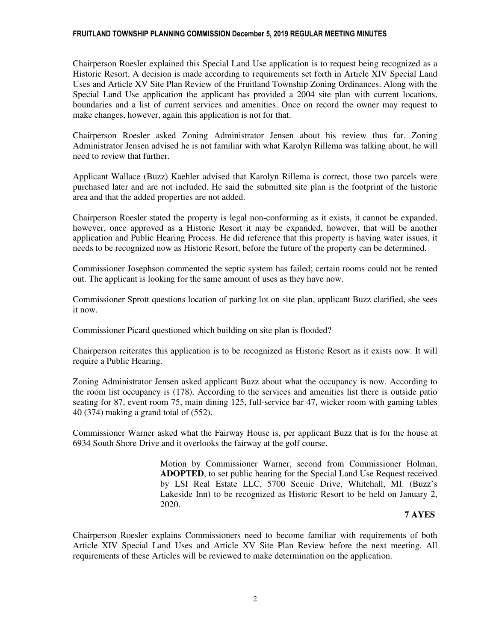### FRUITLAND TOWNSHIP PLANNING COMMISSION December 5, 2019 REGULAR MEETING MINUTES

Chairperson Roesler explained this Special Land Use application is to request being recognized as a Historic Resort. A decision is made according to requirements set forth in Article XIV Special Land Uses and Article XV Site Plan Review of the Fruitland Township Zoning Ordinances. Along with the Special Land Use application the applicant has provided a 2004 site plan with current locations, boundaries and a list of current services and amenities. Once on record the owner may request to make changes, however, again this application is not for that.

 Chairperson Roesler asked Zoning Administrator Jensen about his review thus far. Zoning Administrator Jensen advised he is not familiar with what Karolyn Rillema was talking about, he will need to review that further.

 Applicant Wallace (Buzz) Kaehler advised that Karolyn Rillema is correct, those two parcels were purchased later and are not included. He said the submitted site plan is the footprint of the historic area and that the added properties are not added.

 Chairperson Roesler stated the property is legal non-conforming as it exists, it cannot be expanded, however, once approved as a Historic Resort it may be expanded, however, that will be another application and Public Hearing Process. He did reference that this property is having water issues, it needs to be recognized now as Historic Resort, before the future of the property can be determined.

Commissioner Josephson commented the septic system has failed; certain rooms could not be rented out. The applicant is looking for the same amount of uses as they have now.

Commissioner Sprott questions location of parking lot on site plan, applicant Buzz clarified, she sees it now.

Commissioner Picard questioned which building on site plan is flooded?

Chairperson reiterates this application is to be recognized as Historic Resort as it exists now. It will require a Public Hearing.

Zoning Administrator Jensen asked applicant Buzz about what the occupancy is now. According to the room list occupancy is (178). According to the services and amenities list there is outside patio seating for 87, event room 75, main dining 125, full-service bar 47, wicker room with gaming tables 40 (374) making a grand total of (552).

Commissioner Warner asked what the Fairway House is, per applicant Buzz that is for the house at 6934 South Shore Drive and it overlooks the fairway at the golf course.

> Motion by Commissioner Warner, second from Commissioner Holman, **ADOPTED**, to set public hearing for the Special Land Use Request received by LSI Real Estate LLC, 5700 Scenic Drive, Whitehall, MI. (Buzz's Lakeside Inn) to be recognized as Historic Resort to be held on January 2, 2020.

## **7 AYES**

Chairperson Roesler explains Commissioners need to become familiar with requirements of both Article XIV Special Land Uses and Article XV Site Plan Review before the next meeting. All requirements of these Articles will be reviewed to make determination on the application.